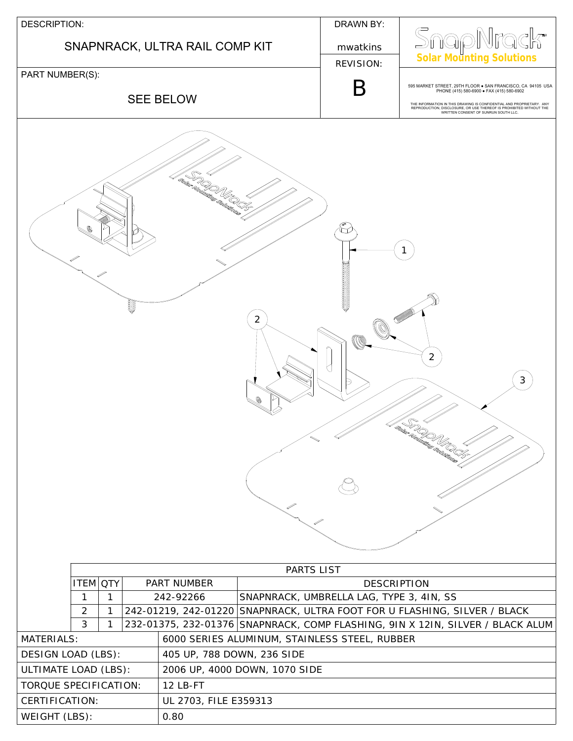| <b>DESCRIPTION:</b>                                                                                                                                            |                       |                                                                | DRAWN BY:        |                                                                                                                                                                                                                                                                                                |
|----------------------------------------------------------------------------------------------------------------------------------------------------------------|-----------------------|----------------------------------------------------------------|------------------|------------------------------------------------------------------------------------------------------------------------------------------------------------------------------------------------------------------------------------------------------------------------------------------------|
| SNAPNRACK, ULTRA RAIL COMP KIT                                                                                                                                 |                       |                                                                | mwatkins         | SnapNra<br>¦ k™                                                                                                                                                                                                                                                                                |
|                                                                                                                                                                |                       |                                                                | <b>REVISION:</b> | <b>Solar Mounting Solutions</b>                                                                                                                                                                                                                                                                |
| PART NUMBER(S):<br><b>SEE BELOW</b>                                                                                                                            |                       |                                                                | B                | 595 MARKET STREET, 29TH FLOOR . SAN FRANCISCO, CA 94105 USA<br>PHONE (415) 580-6900 · FAX (415) 580-6902<br>THE INFORMATION IN THIS DRAWING IS CONFIDENTIAL AND PROPRIETARY. ANY<br>REPRODUCTION, DISCLOSURE, OR USE THEREOF IS PROHIBITED WITHOUT THE<br>WRITTEN CONSENT OF SUNRUN SOUTH LLC. |
| la San Romandor de Cardinales<br>San Romandor de San Corps<br>2<br>$\overline{2}$<br>$\mathfrak{S}$<br>S.<br><sup>N</sup><br>PARTS LIST                        |                       |                                                                |                  |                                                                                                                                                                                                                                                                                                |
| <b>ITEM OTY</b><br>PART NUMBER<br>$\mathbf{1}$<br>242-92266<br>1                                                                                               |                       | <b>DESCRIPTION</b><br>SNAPNRACK, UMBRELLA LAG, TYPE 3, 4IN, SS |                  |                                                                                                                                                                                                                                                                                                |
| $\overline{2}$<br>$\mathbf{1}$<br>242-01219, 242-01220 SNAPNRACK, ULTRA FOOT FOR U FLASHING, SILVER / BLACK                                                    |                       |                                                                |                  |                                                                                                                                                                                                                                                                                                |
| 3<br>232-01375, 232-01376 SNAPNRACK, COMP FLASHING, 9IN X 12IN, SILVER / BLACK ALUM<br>1<br><b>MATERIALS:</b><br>6000 SERIES ALUMINUM, STAINLESS STEEL, RUBBER |                       |                                                                |                  |                                                                                                                                                                                                                                                                                                |
| DESIGN LOAD (LBS):<br>405 UP, 788 DOWN, 236 SIDE                                                                                                               |                       |                                                                |                  |                                                                                                                                                                                                                                                                                                |
| ULTIMATE LOAD (LBS):                                                                                                                                           |                       | 2006 UP, 4000 DOWN, 1070 SIDE                                  |                  |                                                                                                                                                                                                                                                                                                |
| 12 LB-FT<br>TORQUE SPECIFICATION:                                                                                                                              |                       |                                                                |                  |                                                                                                                                                                                                                                                                                                |
| CERTIFICATION:                                                                                                                                                 | UL 2703, FILE E359313 |                                                                |                  |                                                                                                                                                                                                                                                                                                |
| WEIGHT (LBS):                                                                                                                                                  | 0.80                  |                                                                |                  |                                                                                                                                                                                                                                                                                                |